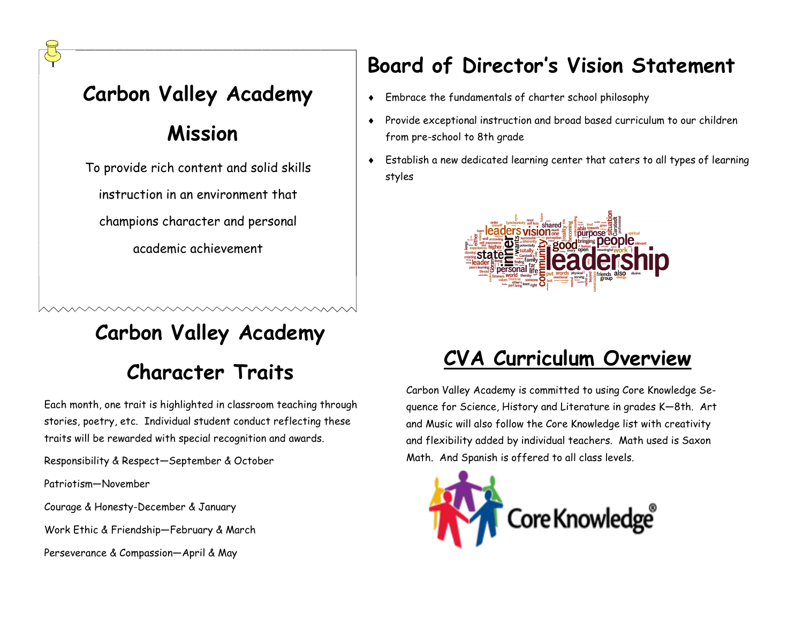# **Carbon Valley Academy**

# **Mission**

To provide rich content and solid skills instruction in an environment that champions character and personal academic achievement

# **Carbon Valley Academy Character Traits**

Each month, one trait is highlighted in classroom teaching through stories, poetry, etc. Individual student conduct reflecting these traits will be rewarded with special recognition and awards.

Responsibility & Respect—September & October

Patriotism—November

Courage & Honesty-December & January

Work Ethic & Friendship—February & March

Perseverance & Compassion—April & May

# **Board of Director's Vision Statement**

- Embrace the fundamentals of charter school philosophy
- Provide exceptional instruction and broad based curriculum to our children from pre-school to 8th grade
- Establish a new dedicated learning center that caters to all types of learning styles



# **CVA Curriculum Overview**

Carbon Valley Academy is committed to using Core Knowledge Sequence for Science, History and Literature in grades K—8th. Art and Music will also follow the Core Knowledge list with creativity and flexibility added by individual teachers. Math used is Saxon Math. And Spanish is offered to all class levels.

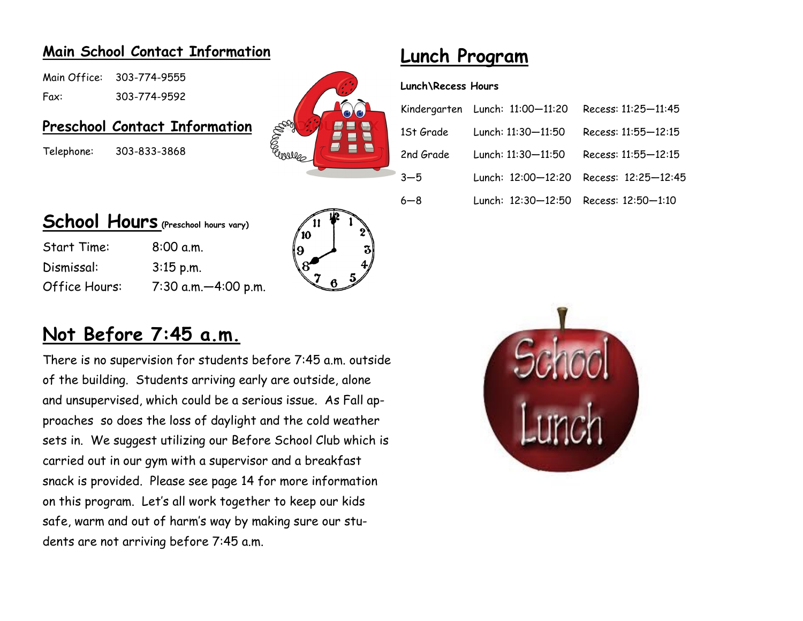#### **Main School Contact Information**

Main Office: 303-774-9555 Fax: 303-774-9592

#### **Preschool Contact Information**

Telephone: 303-833-3868



| <b>School Hours</b> (Preschool hours vary) |             |  |
|--------------------------------------------|-------------|--|
| <b>Start Time:</b>                         | $8:00$ a.m. |  |
| Dismissal:                                 | $3:15$ p.m. |  |

Office Hours: 7:30 a.m.—4:00 p.m.



## **Lunch Program**

#### **Lunch\Recess Hours**

|           | Kindergarten Lunch: 11:00-11:20       | Recess: 11:25-11:45                    |
|-----------|---------------------------------------|----------------------------------------|
| 1St Grade | Lunch: 11:30-11:50                    | Recess: 11:55-12:15                    |
| 2nd Grade | Lunch: 11:30-11:50                    | Recess: 11:55-12:15                    |
| $3 - 5$   |                                       | Lunch: 12:00-12:20 Recess: 12:25-12:45 |
| 6—8       | Lunch: 12:30-12:50 Recess: 12:50-1:10 |                                        |

# **Not Before 7:45 a.m.**

There is no supervision for students before 7:45 a.m. outside of the building. Students arriving early are outside, alone and unsupervised, which could be a serious issue. As Fall approaches so does the loss of daylight and the cold weather sets in. We suggest utilizing our Before School Club which is carried out in our gym with a supervisor and a breakfast snack is provided. Please see page 14 for more information on this program. Let's all work together to keep our kids safe, warm and out of harm's way by making sure our students are not arriving before 7:45 a.m.

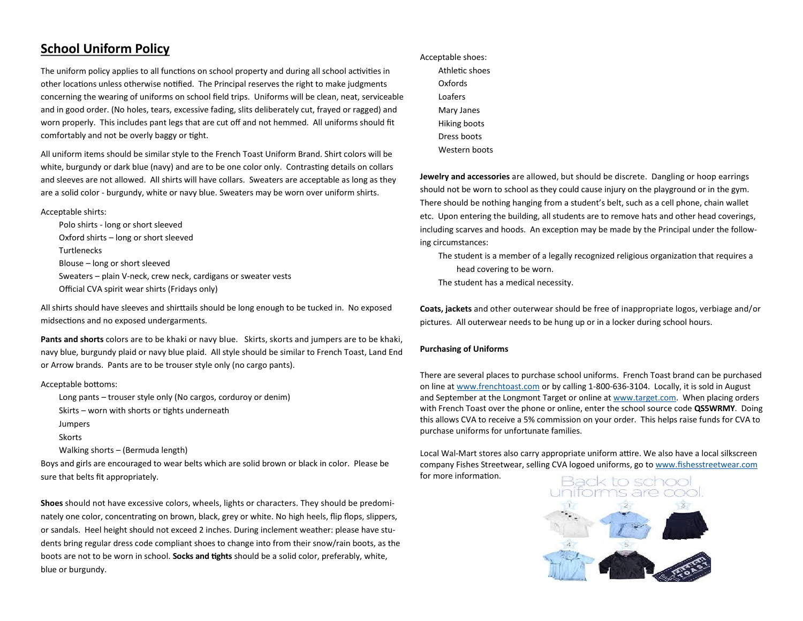#### **School Uniform Policy**

The uniform policy applies to all functions on school property and during all school activities in other locations unless otherwise notified. The Principal reserves the right to make judgments concerning the wearing of uniforms on school field trips. Uniforms will be clean, neat, serviceable and in good order. (No holes, tears, excessive fading, slits deliberately cut, frayed or ragged) and worn properly. This includes pant legs that are cut off and not hemmed. All uniforms should fit comfortably and not be overly baggy or tight.

All uniform items should be similar style to the French Toast Uniform Brand. Shirt colors will be white, burgundy or dark blue (navy) and are to be one color only. Contrasting details on collars and sleeves are not allowed. All shirts will have collars. Sweaters are acceptable as long as they are a solid color - burgundy, white or navy blue. Sweaters may be worn over uniform shirts.

Acceptable shirts:

Polo shirts - long or short sleeved Oxford shirts – long or short sleeved **Turtlenecks** Blouse – long or short sleeved Sweaters – plain V-neck, crew neck, cardigans or sweater vests Official CVA spirit wear shirts (Fridays only)

All shirts should have sleeves and shirttails should be long enough to be tucked in. No exposed midsections and no exposed undergarments.

**Pants and shorts** colors are to be khaki or navy blue. Skirts, skorts and jumpers are to be khaki, navy blue, burgundy plaid or navy blue plaid. All style should be similar to French Toast, Land End or Arrow brands. Pants are to be trouser style only (no cargo pants).

#### Acceptable bottoms:

Long pants – trouser style only (No cargos, corduroy or denim) Skirts – worn with shorts or tights underneath Jumpers Skorts

Walking shorts – (Bermuda length)

Boys and girls are encouraged to wear belts which are solid brown or black in color. Please be sure that belts fit appropriately.

**Shoes** should not have excessive colors, wheels, lights or characters. They should be predominately one color, concentrating on brown, black, grey or white. No high heels, flip flops, slippers, or sandals. Heel height should not exceed 2 inches. During inclement weather: please have students bring regular dress code compliant shoes to change into from their snow/rain boots, as the boots are not to be worn in school. **Socks and tights** should be a solid color, preferably, white, blue or burgundy.

#### Acceptable shoes: Athletic shoes Oxfords Loafers Mary Janes Hiking boots Dress boots Western boots

**Jewelry and accessories** are allowed, but should be discrete. Dangling or hoop earrings should not be worn to school as they could cause injury on the playground or in the gym. There should be nothing hanging from a student's belt, such as a cell phone, chain wallet etc. Upon entering the building, all students are to remove hats and other head coverings, including scarves and hoods. An exception may be made by the Principal under the following circumstances:

The student is a member of a legally recognized religious organization that requires a head covering to be worn.

The student has a medical necessity.

**Coats, jackets** and other outerwear should be free of inappropriate logos, verbiage and/or pictures. All outerwear needs to be hung up or in a locker during school hours.

#### **Purchasing of Uniforms**

There are several places to purchase school uniforms. French Toast brand can be purchased on line at [www.frenchtoast.com](http://www.frenchtoast.com) or by calling 1-800-636-3104. Locally, it is sold in August and September at the Longmont Target or online at [www.target.com.](http://www.target.com) When placing orders with French Toast over the phone or online, enter the school source code **QS5WRMY**. Doing this allows CVA to receive a 5% commission on your order. This helps raise funds for CVA to purchase uniforms for unfortunate families.

Local Wal-Mart stores also carry appropriate uniform attire. We also have a local silkscreen company Fishes Streetwear, selling CVA logoed uniforms, go to [www.fishesstreetwear.com](http://www.fishesstreetwear.com) for more information.

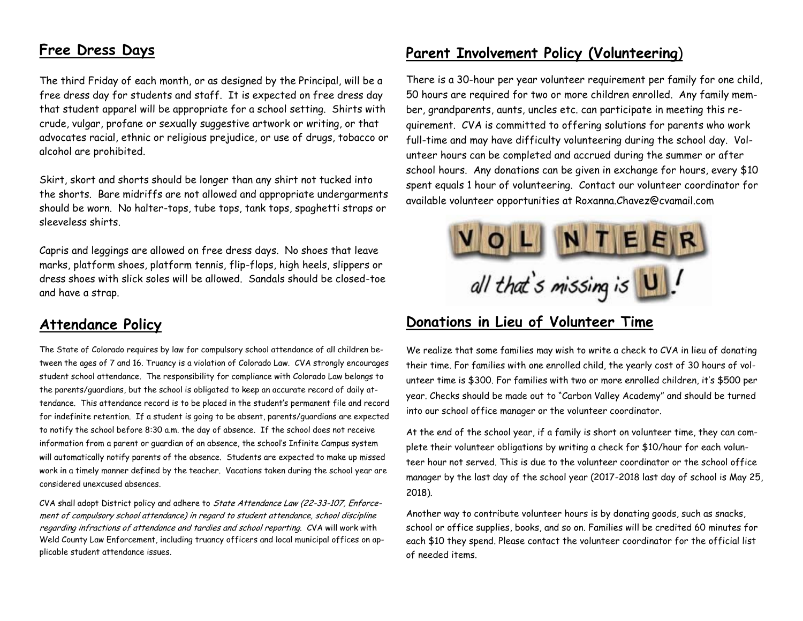#### **Free Dress Days**

The third Friday of each month, or as designed by the Principal, will be a free dress day for students and staff. It is expected on free dress day that student apparel will be appropriate for a school setting. Shirts with crude, vulgar, profane or sexually suggestive artwork or writing, or that advocates racial, ethnic or religious prejudice, or use of drugs, tobacco or alcohol are prohibited.

Skirt, skort and shorts should be longer than any shirt not tucked into the shorts. Bare midriffs are not allowed and appropriate undergarments should be worn. No halter-tops, tube tops, tank tops, spaghetti straps or sleeveless shirts.

Capris and leggings are allowed on free dress days. No shoes that leave marks, platform shoes, platform tennis, flip-flops, high heels, slippers or dress shoes with slick soles will be allowed. Sandals should be closed-toe and have a strap.

#### **Attendance Policy**

The State of Colorado requires by law for compulsory school attendance of all children between the ages of 7 and 16. Truancy is a violation of Colorado Law. CVA strongly encourages student school attendance. The responsibility for compliance with Colorado Law belongs to the parents/guardians, but the school is obligated to keep an accurate record of daily attendance. This attendance record is to be placed in the student's permanent file and record for indefinite retention. If a student is going to be absent, parents/guardians are expected to notify the school before 8:30 a.m. the day of absence. If the school does not receive information from a parent or guardian of an absence, the school's Infinite Campus system will automatically notify parents of the absence. Students are expected to make up missed work in a timely manner defined by the teacher. Vacations taken during the school year are considered unexcused absences.

CVA shall adopt District policy and adhere to State Attendance Law (22-33-107, Enforcement of compulsory school attendance) in regard to student attendance, school discipline regarding infractions of attendance and tardies and school reporting. CVA will work with Weld County Law Enforcement, including truancy officers and local municipal offices on applicable student attendance issues.

#### **Parent Involvement Policy (Volunteering**)

There is a 30-hour per year volunteer requirement per family for one child, 50 hours are required for two or more children enrolled. Any family member, grandparents, aunts, uncles etc. can participate in meeting this requirement. CVA is committed to offering solutions for parents who work full-time and may have difficulty volunteering during the school day. Volunteer hours can be completed and accrued during the summer or after school hours. Any donations can be given in exchange for hours, every \$10 spent equals 1 hour of volunteering. Contact our volunteer coordinator for available volunteer opportunities at Roxanna.Chavez@cvamail.com



## **Donations in Lieu of Volunteer Time**

We realize that some families may wish to write a check to CVA in lieu of donating their time. For families with one enrolled child, the yearly cost of 30 hours of volunteer time is \$300. For families with two or more enrolled children, it's \$500 per year. Checks should be made out to "Carbon Valley Academy" and should be turned into our school office manager or the volunteer coordinator.

At the end of the school year, if a family is short on volunteer time, they can complete their volunteer obligations by writing a check for \$10/hour for each volunteer hour not served. This is due to the volunteer coordinator or the school office manager by the last day of the school year (2017-2018 last day of school is May 25, 2018).

Another way to contribute volunteer hours is by donating goods, such as snacks, school or office supplies, books, and so on. Families will be credited 60 minutes for each \$10 they spend. Please contact the volunteer coordinator for the official list of needed items.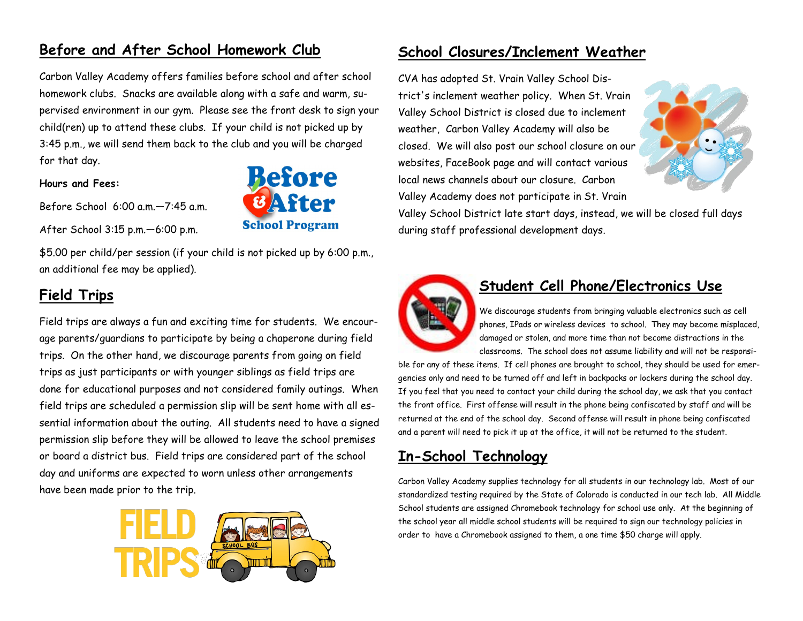## **Before and After School Homework Club**

Carbon Valley Academy offers families before school and after school homework clubs. Snacks are available along with a safe and warm, supervised environment in our gym. Please see the front desk to sign your child(ren) up to attend these clubs. If your child is not picked up by 3:45 p.m., we will send them back to the club and you will be charged for that day.

Before

**BAffer** 

**School Program** 

#### **Hours and Fees:**

Before School 6:00 a.m.—7:45 a.m. After School 3:15 p.m.—6:00 p.m.

\$5.00 per child/per session (if your child is not picked up by 6:00 p.m., an additional fee may be applied).

#### **Field Trips**

Field trips are always a fun and exciting time for students. We encourage parents/guardians to participate by being a chaperone during field trips. On the other hand, we discourage parents from going on field trips as just participants or with younger siblings as field trips are done for educational purposes and not considered family outings. When field trips are scheduled a permission slip will be sent home with all essential information about the outing. All students need to have a signed permission slip before they will be allowed to leave the school premises or board a district bus. Field trips are considered part of the school day and uniforms are expected to worn unless other arrangements have been made prior to the trip.



#### **School Closures/Inclement Weather**

CVA has adopted St. Vrain Valley School District's inclement weather policy. When St. Vrain Valley School District is closed due to inclement weather, Carbon Valley Academy will also be closed. We will also post our school closure on our websites, FaceBook page and will contact various local news channels about our closure. Carbon Valley Academy does not participate in St. Vrain



Valley School District late start days, instead, we will be closed full days during staff professional development days.



#### **Student Cell Phone/Electronics Use**

We discourage students from bringing valuable electronics such as cell phones, IPads or wireless devices to school. They may become misplaced, damaged or stolen, and more time than not become distractions in the classrooms. The school does not assume liability and will not be responsi-

ble for any of these items. If cell phones are brought to school, they should be used for emergencies only and need to be turned off and left in backpacks or lockers during the school day. If you feel that you need to contact your child during the school day, we ask that you contact the front office. First offense will result in the phone being confiscated by staff and will be returned at the end of the school day. Second offense will result in phone being confiscated and a parent will need to pick it up at the office, it will not be returned to the student.

## **In-School Technology**

Carbon Valley Academy supplies technology for all students in our technology lab. Most of our standardized testing required by the State of Colorado is conducted in our tech lab. All Middle School students are assigned Chromebook technology for school use only. At the beginning of the school year all middle school students will be required to sign our technology policies in order to have a Chromebook assigned to them, a one time \$50 charge will apply.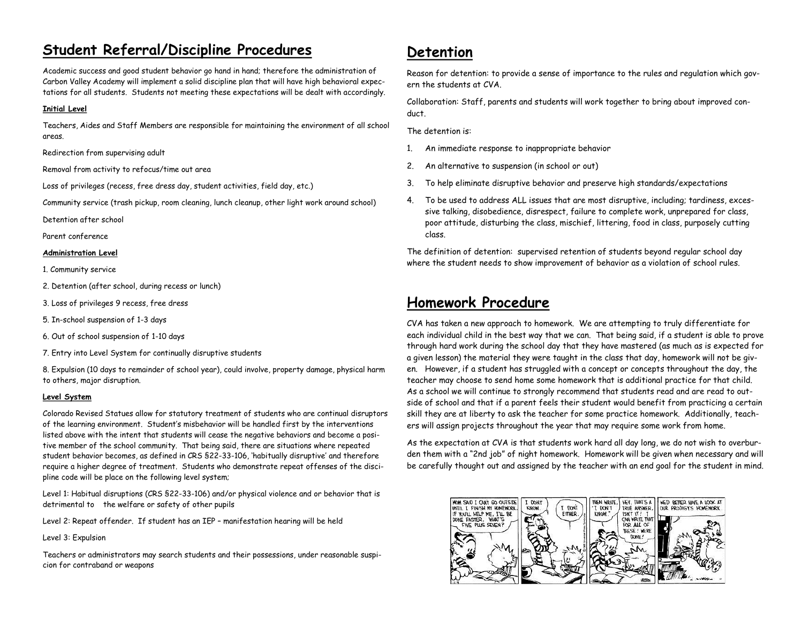#### **Student Referral/Discipline Procedures**

Academic success and good student behavior go hand in hand; therefore the administration of Carbon Valley Academy will implement a solid discipline plan that will have high behavioral expectations for all students. Students not meeting these expectations will be dealt with accordingly.

#### **Initial Level**

Teachers, Aides and Staff Members are responsible for maintaining the environment of all school areas.

Redirection from supervising adult

Removal from activity to refocus/time out area

Loss of privileges (recess, free dress day, student activities, field day, etc.)

Community service (trash pickup, room cleaning, lunch cleanup, other light work around school)

Detention after school

Parent conference

#### **Administration Level**

1. Community service

- 2. Detention (after school, during recess or lunch)
- 3. Loss of privileges 9 recess, free dress
- 5. In-school suspension of 1-3 days
- 6. Out of school suspension of 1-10 days
- 7. Entry into Level System for continually disruptive students

8. Expulsion (10 days to remainder of school year), could involve, property damage, physical harm to others, major disruption.

#### **Level System**

Colorado Revised Statues allow for statutory treatment of students who are continual disruptors of the learning environment. Student's misbehavior will be handled first by the interventions listed above with the intent that students will cease the negative behaviors and become a positive member of the school community. That being said, there are situations where repeated student behavior becomes, as defined in CRS §22-33-106, 'habitually disruptive' and therefore require a higher degree of treatment. Students who demonstrate repeat offenses of the discipline code will be place on the following level system;

Level 1: Habitual disruptions (CRS §22-33-106) and/or physical violence and or behavior that is detrimental to the welfare or safety of other pupils

Level 2: Repeat offender. If student has an IEP – manifestation hearing will be held

Level 3: Expulsion

Teachers or administrators may search students and their possessions, under reasonable suspicion for contraband or weapons

#### **Detention**

Reason for detention: to provide a sense of importance to the rules and regulation which govern the students at CVA.

Collaboration: Staff, parents and students will work together to bring about improved conduct.

The detention is:

- 1. An immediate response to inappropriate behavior
- 2. An alternative to suspension (in school or out)
- 3. To help eliminate disruptive behavior and preserve high standards/expectations
- 4. To be used to address ALL issues that are most disruptive, including; tardiness, excessive talking, disobedience, disrespect, failure to complete work, unprepared for class, poor attitude, disturbing the class, mischief, littering, food in class, purposely cutting class.

The definition of detention: supervised retention of students beyond regular school day where the student needs to show improvement of behavior as a violation of school rules.

#### **Homework Procedure**

CVA has taken a new approach to homework. We are attempting to truly differentiate for each individual child in the best way that we can. That being said, if a student is able to prove through hard work during the school day that they have mastered (as much as is expected for a given lesson) the material they were taught in the class that day, homework will not be given. However, if a student has struggled with a concept or concepts throughout the day, the teacher may choose to send home some homework that is additional practice for that child. As a school we will continue to strongly recommend that students read and are read to outside of school and that if a parent feels their student would benefit from practicing a certain skill they are at liberty to ask the teacher for some practice homework. Additionally, teachers will assign projects throughout the year that may require some work from home.

As the expectation at CVA is that students work hard all day long, we do not wish to overburden them with a "2nd job" of night homework. Homework will be given when necessary and will be carefully thought out and assigned by the teacher with an end goal for the student in mind.

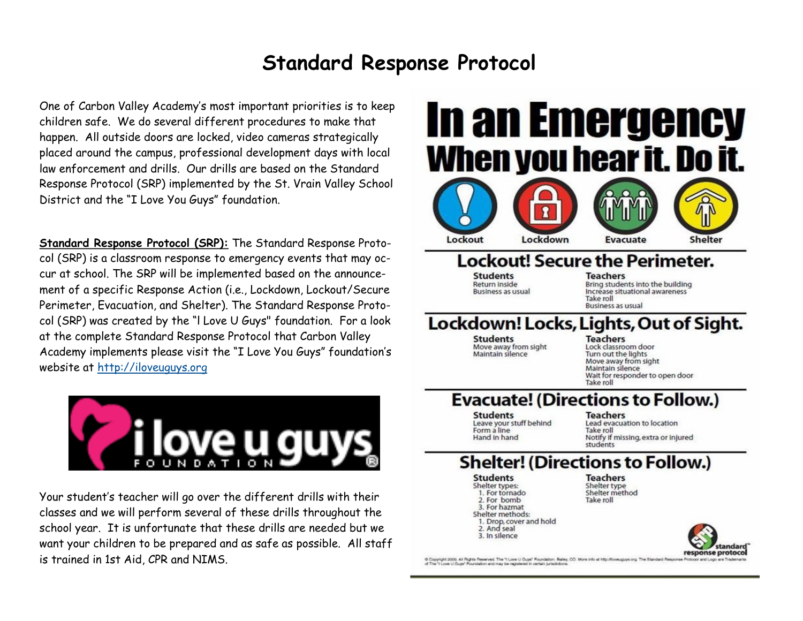## **Standard Response Protocol**

One of Carbon Valley Academy's most important priorities is to keep children safe. We do several different procedures to make that happen. All outside doors are locked, video cameras strategically placed around the campus, professional development days with local law enforcement and drills. Our drills are based on the Standard Response Protocol (SRP) implemented by the St. Vrain Valley School District and the "I Love You Guys" foundation.

**Standard Response Protocol (SRP):** The Standard Response Protocol (SRP) is a classroom response to emergency events that may occur at school. The SRP will be implemented based on the announcement of a specific Response Action (i.e., Lockdown, Lockout/Secure Perimeter, Evacuation, and Shelter). The Standard Response Protocol (SRP) was created by the "l Love U Guys" foundation. For a look at the complete Standard Response Protocol that Carbon Valley Academy implements please visit the "I Love You Guys" foundation's website at<http://iloveuguys.org>



Your student's teacher will go over the different drills with their classes and we will perform several of these drills throughout the school year. It is unfortunate that these drills are needed but we want your children to be prepared and as safe as possible. All staff is trained in 1st Aid, CPR and NIMS.

# **In an Emergency** When you hear it. Do it.





## Lockout! Secure the Perimeter.

**Students** Return inside **Business as usual** 

**Teachers** Bring students into the building Increase situational awareness Take roll **Business as usual** 

## Lockdown! Locks, Lights, Out of Sight.

**Students** Move away from sight Maintain silence

**Teachers** 

Lock classroom door Turn out the lights Move away from sight Maintain silence Wait for responder to open door Take roll

## **Evacuate! (Directions to Follow.)**

**Students** Leave your stuff behind Form a line Hand in hand

**Teachers** Lead evacuation to location Take roll Notify if missing, extra or injured students

## **Shelter! (Directions to Follow.)**

**Students** Shelter types: 1. For tornado 2. For bomb 3. For hazmat Shelter methods: 1. Drop, cover and hold 2. And seal 3. In silence

**Teachers** Shelter type Shelter method Take roll



@ Copyright 2000, All Finish Reserved. The "Love U Quiet" Foundation. Balley, CO. More into at Monticomutors org. The Standard Res of The "I Love U Guye" Foundation and may be registered in certain turadiction